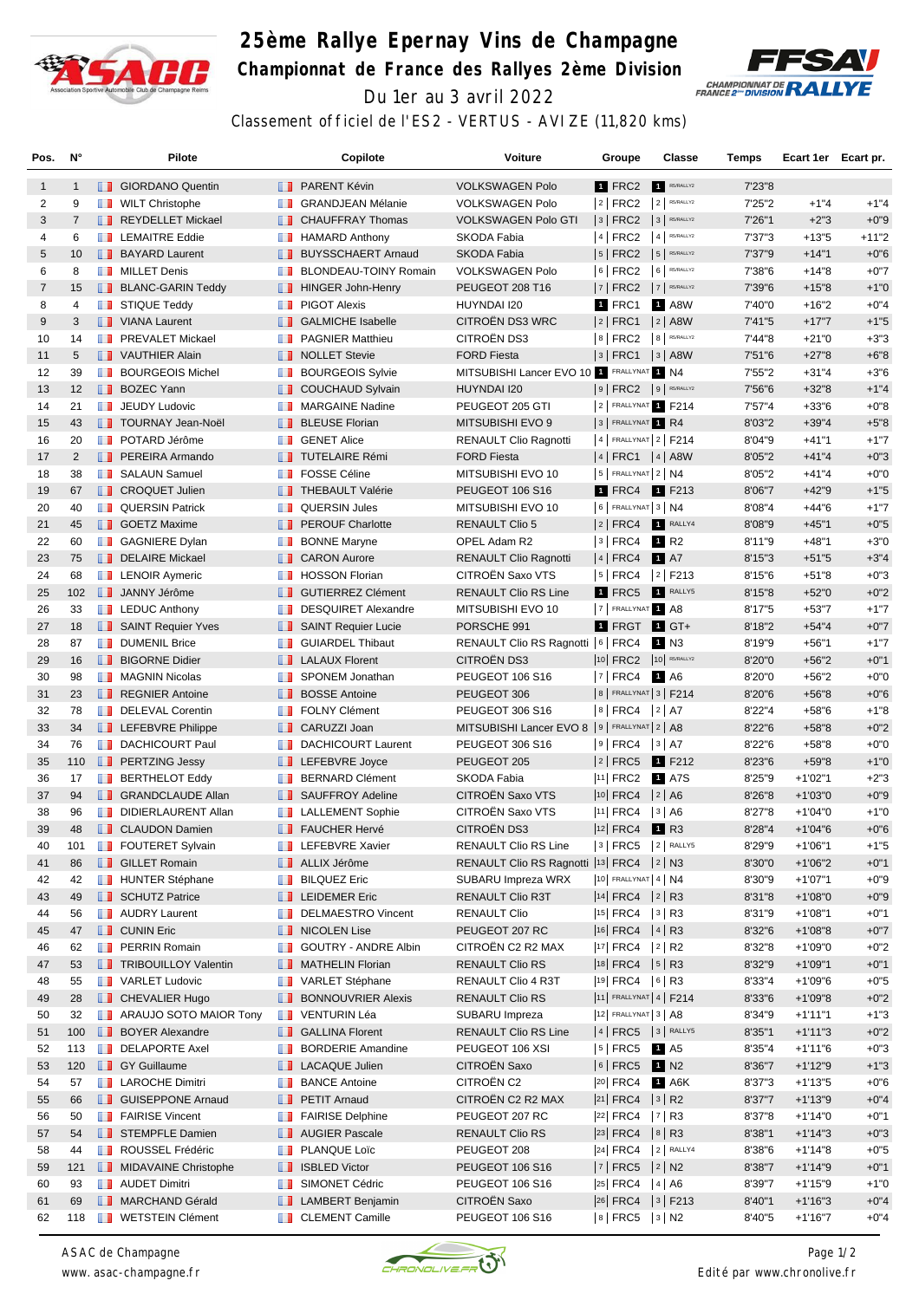

## **25ème Rallye Epernay Vins de Champagne Championnat de France des Rallyes 2ème Division** Du 1er au 3 avril 2022



Classement officiel de l'ES2 - VERTUS - AVIZE (11,820 kms)

| Pos.           | N°             |               | Pilote                            |                   | Copilote                        | <b>Voiture</b>                                 | Groupe                       | Classe               | Temps   | Ecart 1er Ecart pr. |         |
|----------------|----------------|---------------|-----------------------------------|-------------------|---------------------------------|------------------------------------------------|------------------------------|----------------------|---------|---------------------|---------|
| $\mathbf{1}$   | $\mathbf{1}$   |               | <b>B</b> GIORDANO Quentin         |                   | <b>B</b> PARENT Kévin           | <b>VOLKSWAGEN Polo</b>                         | <b>1 FRC2</b>                | R5/RALLY2            | 7'23"8  |                     |         |
| 2              | 9              |               | <b>WILT Christophe</b>            | w                 | <b>GRANDJEAN Mélanie</b>        | <b>VOLKSWAGEN Polo</b>                         | $ 2 $ FRC2                   | $2$ R5/RALLY2        | 7'25"2  | $+1"4$              | $+1"4$  |
| 3              | $\overline{7}$ |               | REYDELLET Mickael                 |                   | <b>CHAUFFRAY Thomas</b>         | <b>VOLKSWAGEN Polo GTI</b>                     | $3$ FRC2                     | $3$ R5/RALLY2        | 7'26"1  | $+2"3$              | $+0"9$  |
| 4              | 6              | <b>The Co</b> | <b>LEMAITRE Eddie</b>             | m                 | <b>HAMARD Anthony</b>           | <b>SKODA Fabia</b>                             | 4 FRC2                       | $4$ R5/RALLY2        | 7'37"3  | $+13"5$             | $+11"2$ |
| 5              | 10             |               | <b>BAYARD Laurent</b>             | ш                 | <b>BUYSSCHAERT Arnaud</b>       | <b>SKODA Fabia</b>                             | $ 5 $ FRC2                   | $5$ R5/RALLY2        | 7'37"9  | $+14"1$             | $+0"6$  |
| 6              | 8              |               | <b>NILLET</b> Denis               | ш                 | BLONDEAU-TOINY Romain           | <b>VOLKSWAGEN Polo</b>                         | $6$ FRC2                     | 6 R5/RALLY2          | 7'38"6  | $+14"8$             | $+0"7$  |
| $\overline{7}$ | 15             |               | <b>BLANC-GARIN Teddy</b>          | <b>II</b>         | <b>HINGER John-Henry</b>        | PEUGEOT 208 T16                                | 7   FRC2                     | 7 R5/RALLY2          | 7'39"6  | $+15"8$             | $+1"0$  |
| 8              | 4              |               | <b>STIQUE Teddy</b>               | ш                 | <b>PIGOT Alexis</b>             | HUYNDAI I20                                    | 1 FRC1                       | 1 A8W                | 7'40"0  | $+16"2$             | $+0"4$  |
| 9              | 3              |               | <b>NANA</b> Laurent               | . .               | <b>GALMICHE Isabelle</b>        | CITROËN DS3 WRC                                | $ 2 $ FRC1                   | $ 2 $ A8W            | 7'41"5  | $+17"7$             | $+1"5$  |
| 10             | 14             |               | <b>FREVALET Mickael</b>           | m                 | <b>PAGNIER Matthieu</b>         | CITROËN DS3                                    | $8$ FRC2                     | 8 R5/RALLY2          | 7'44"8  | $+21"0$             | $+3"3$  |
| 11             | 5              |               | VAUTHIER Alain                    |                   | <b>NOLLET</b> Stevie            | <b>FORD Fiesta</b>                             | $ 3 $ FRC1                   | $3$ A8W              | 7'51"6  | $+27"8$             | $+6"8$  |
| 12             | 39             |               | <b>BOURGEOIS Michel</b>           | ш                 | <b>BOURGEOIS Sylvie</b>         | MITSUBISHI Lancer EVO 10 1 FRALLYNAT 1 N4      |                              |                      | 7'55"2  | $+31"4$             | $+3"6$  |
| 13             | 12             |               | <b>BOZEC Yann</b>                 | ш                 | <b>COUCHAUD Sylvain</b>         | HUYNDAI I20                                    | $9$ FRC2 $9$ R5/RALLY2       |                      | 7'56"6  | $+32"8$             | $+1"4$  |
| 14             | 21             |               | <b>JEUDY Ludovic</b>              | w                 | <b>MARGAINE Nadine</b>          | PEUGEOT 205 GTI                                | 2 FRALLYNAT 1 F214           |                      | 7'57"4  | $+33"6$             | $+0"8$  |
| 15             | 43             |               | <b>TOURNAY Jean-Noël</b>          | ш                 | <b>BLEUSE Florian</b>           | MITSUBISHI EVO 9                               | 3 FRALLYNAT 1 R4             |                      | 8'03"2  | $+39"4$             | $+5"8$  |
| 16             | 20             |               | <b>DE POTARD Jérôme</b>           | ш                 | <b>GENET Alice</b>              | <b>RENAULT Clio Ragnotti</b>                   | 4   FRALLYNAT 2   F214       |                      | 8'04"9  | $+41"1$             | $+1"7$  |
| 17             | $\overline{2}$ |               | <b>FEREIRA Armando</b>            |                   | <b>TUTELAIRE Rémi</b>           | <b>FORD Fiesta</b>                             | $ 4 $ FRC1 $ 4 $ A8W         |                      | 8'05"2  | $+41"4$             | $+0"3$  |
| 18             | 38             |               | <b>SALAUN Samuel</b>              |                   | <b>FOSSE Céline</b>             | MITSUBISHI EVO 10                              | $5$ FRALLYNAT $2$ N4         |                      | 8'05"2  | $+41"4$             | $+0"0$  |
| 19             | 67             |               | <b>CROQUET Julien</b>             |                   | <b>THEBAULT Valérie</b>         | <b>PEUGEOT 106 S16</b>                         | 1 FRC4                       | 1 F213               | 8'06"7  | $+42"9$             | $+1"5$  |
| 20             | 40             |               | <b>QUERSIN Patrick</b>            |                   | <b>QUERSIN Jules</b>            | MITSUBISHI EVO 10                              | $6$ FRALLYNAT 3   N4         |                      | 8'08"4  | $+44"6$             | $+1"7$  |
| 21             | 45             |               | <b>SOETZ Maxime</b>               | ш                 | <b>PEROUF Charlotte</b>         | <b>RENAULT Clio 5</b>                          | $ 2 $ FRC4                   | RALLY4               | 8'08"9  | $+45"1$             | $+0"5$  |
| 22             | 60             |               | <b>B</b> GAGNIERE Dylan           | ш                 | <b>BONNE Maryne</b>             | OPEL Adam R2                                   | $ 3 $ FRC4                   | 1 R <sub>2</sub>     | 8'11"9  | $+48"1$             | $+3"0$  |
| 23             | 75             |               | DELAIRE Mickael                   |                   | <b>B</b> CARON Aurore           | <b>RENAULT Clio Ragnotti</b>                   | $ 4 $ FRC4                   | <b>1</b> A7          | 8'15''3 | $+51"5$             | $+3"4$  |
| 24             | 68             |               | <b>EXP</b> LENOIR Aymeric         | <b>A</b>          | <b>HOSSON Florian</b>           | CITROËN Saxo VTS                               | $5$ FRC4                     | $ 2 $ F213           | 8'15"6  | $+51"8$             | $+0"3$  |
| 25             | 102            |               | <b>JANNY Jérôme</b>               |                   | <b>B</b> GUTIERREZ Clément      | <b>RENAULT Clio RS Line</b>                    | 1 FRC5                       | RALLY5               | 8'15"8  | $+52"0$             | $+0"2$  |
| 26             | 33             |               | $\blacksquare$ LEDUC Anthony      | <b>THE R</b>      | <b>DESQUIRET Alexandre</b>      | MITSUBISHI EVO 10                              | 7 FRALLYNAT 1 A8             |                      | 8'17"5  | $+53"7$             | $+1"7$  |
| 27             | 18             |               | SAINT Requier Yves                | ш                 | <b>SAINT Requier Lucie</b>      | PORSCHE 991                                    | 1 FRGT                       | $\blacksquare$ GT+   | 8'18"2  | $+54"4$             | $+0"7$  |
| 28             | 87             |               | <b>DUMENIL Brice</b>              | ш                 | <b>GUIARDEL Thibaut</b>         | RENAULT Clio RS Ragnotti   6   FRC4            |                              | $1$ N3               | 8'19"9  | $+56"1$             | $+1"7$  |
| 29             | 16             |               | <b>BIGORNE Didier</b>             |                   | <b>Example 2</b> LALAUX Florent | CITROËN DS3                                    | 10 FRC2                      | $10$ R5/RALLY2       | 8'20"0  | $+56"2$             | $+0"1$  |
| 30             | 98             |               | <b>NAGNIN Nicolas</b>             | <b>TELEVISION</b> | SPONEM Jonathan                 | PEUGEOT 106 S16                                | 7   FRC4                     | 1 A6                 | 8'20"0  | $+56"2$             | $+0"0$  |
| 31             | 23             |               | <b>REGNIER Antoine</b>            | ш                 | <b>BOSSE Antoine</b>            | PEUGEOT 306                                    | 8   FRALLYNAT 3   F214       |                      | 8'20"6  | $+56"8$             | $+0"6$  |
| 32             | 78             |               | DELEVAL Corentin                  | ш                 | <b>FOLNY Clément</b>            | PEUGEOT 306 S16                                | $ 8 $ FRC4                   | $ 2 $ A7             | 8'22"4  | $+58"6$             | $+1"8$  |
| 33             | 34             |               | <b>EXECUTE:</b> LEFEBVRE Philippe | ш                 | CARUZZI Joan                    | MITSUBISHI Lancer EVO 8   9   FRALLYNAT 2   A8 |                              |                      | 8'22"6  | $+58"8$             | $+0"2$  |
| 34             | 76             |               | <b>DACHICOURT Paul</b>            | <b>TELEVISION</b> | <b>DACHICOURT Laurent</b>       | PEUGEOT 306 S16                                | $ 9 $ FRC4                   | $ 3 $ A7             | 8'22"6  | $+58"8$             | $+0"0$  |
| 35             | 110            |               | <b>FERTZING Jessy</b>             |                   | <b>EXECUTE:</b> LEFEBVRE Joyce  | PEUGEOT 205                                    | 2   FRC5                     | 1 F212               | 8'23"6  | $+59"8$             | $+1"0$  |
| 36             | 17             |               | <b>BERTHELOT Eddy</b>             | w                 | <b>BERNARD Clément</b>          | <b>SKODA Fabia</b>                             | 11 FRC2                      | <b>1 A7S</b>         | 8'25"9  | $+1'02"1$           | $+2"3$  |
| 37             | 94             |               | <b>GRANDCLAUDE Allan</b>          |                   | SAUFFROY Adeline                | CITROËN Saxo VTS                               | 10 FRC4                      | 2 A6                 | 8'26"8  | $+1'03"0$           | $+0"9$  |
| 38             | 96             | ш             | DIDIERLAURENT Allan               | m                 | <b>LALLEMENT Sophie</b>         | CITROËN Saxo VTS                               | $ 11 $ FRC4                  | 3   A6               | 8'27"8  | $+1'04"0$           | $+1"0$  |
| 39             | 48             |               | <b>CLAUDON Damien</b>             |                   | <b>FAUCHER Hervé</b>            | CITROËN DS3                                    | $ 12 $ FRC4                  | <b>1</b> R3          | 8'28"4  | $+1'04"6$           | $+0"6$  |
| 40             | 101            |               | <b>FOUTERET Sylvain</b>           |                   | <b>EXECUTE:</b> LEFEBVRE Xavier | <b>RENAULT Clio RS Line</b>                    | $ 3 $ FRC5                   | 2 RALLY5             | 8'29"9  | $+1'06"1$           | $+1"5$  |
| 41             | 86             |               | <b>B</b> GILLET Romain            |                   | <b>ALLIX Jérôme</b>             | RENAULT Clio RS Ragnotti  13 FRC4   2   N3     |                              |                      | 8'30"0  | $+1'06''2$          | $+0"1$  |
| 42             | 42             |               | <b>HUNTER Stéphane</b>            |                   | <b>BILQUEZ Eric</b>             | SUBARU Impreza WRX                             | 10 FRALLYNAT 4 N4            |                      | 8'30"9  | $+1'07"1$           | $+0"9$  |
| 43             | 49             |               | SCHUTZ Patrice                    |                   | <b>LEIDEMER Eric</b>            | RENAULT Clio R3T                               | $ 14 $ FRC4 $ 2 $ R3         |                      | 8'31"8  | $+1'08"0$           | $+0"9$  |
| 44             | 56             |               | <b>B</b> AUDRY Laurent            | m                 | <b>DELMAESTRO Vincent</b>       | <b>RENAULT Clio</b>                            | 15 FRC4                      | $ 3 $ R3             | 8'31"9  | $+1'08"1$           | $+0"1$  |
| 45             | 47             |               | <b>D</b> CUNIN Eric               |                   | NICOLEN Lise                    | PEUGEOT 207 RC                                 | $ 16 $ FRC4                  | $ 4 $ R <sub>3</sub> | 8'32"6  | $+1'08"8$           | $+0"7$  |
| 46             | 62             |               | <b>F</b> PERRIN Romain            |                   | GOUTRY - ANDRE Albin            | CITROËN C2 R2 MAX                              | $ 17 $ FRC4 $ 2 $ R2         |                      | 8'32"8  | $+1'09"0$           | $+0"2$  |
| 47             | 53             |               | <b>TRIBOUILLOY Valentin</b>       |                   | MATHELIN Florian                | <b>RENAULT Clio RS</b>                         | $ 18 $ FRC4 $ 5 $ R3         |                      | 8'32"9  | $+1'09"1$           | $+0"1$  |
| 48             | 55             |               | <b>NARLET Ludovic</b>             |                   | <b>T</b> VARLET Stéphane        | RENAULT Clio 4 R3T                             | $ 19 $ FRC4 $ 6 $ R3         |                      | 8'33"4  | +1'09"6             | $+0"5$  |
| 49             | 28             |               | <b>CHEVALIER Hugo</b>             | <b>II</b>         | <b>BONNOUVRIER Alexis</b>       | <b>RENAULT Clio RS</b>                         | 11 FRALLYNAT 4   F214        |                      | 8'33"6  | $+1'09"8$           | $+0"2$  |
| 50             | 32             |               | ARAUJO SOTO MAIOR Tony            | ш                 | VENTURIN Léa                    | SUBARU Impreza                                 | 12 FRALLYNAT 3   A8          |                      | 8'34"9  | +1'11"1             | $+1"3$  |
| 51             | 100            |               | <b>BOYER Alexandre</b>            |                   | <b>B</b> GALLINA Florent        | <b>RENAULT Clio RS Line</b>                    | $ 4 $ FRC5 $ 3 $ RALLY5      |                      | 8'35"1  | $+1'11''3$          | $+0"2$  |
| 52             | 113            |               | <b>DELAPORTE Axel</b>             | <b>The Co</b>     | <b>BORDERIE Amandine</b>        | PEUGEOT 106 XSI                                | $ 5 $ FRC5 $\blacksquare$ A5 |                      | 8'35"4  | $+1'11''6$          | $+0"3$  |
| 53             | 120            |               | <b>GY Guillaume</b>               |                   | <b>LACAQUE Julien</b>           | CITROËN Saxo                                   | $ 6 $ FRC5                   | N <sub>2</sub>       | 8'36"7  | $+1'12''9$          | $+1"3$  |
| 54             | 57             |               | <b>LAROCHE Dimitri</b>            |                   | <b>BANCE Antoine</b>            | CITROËN C2                                     | 20 FRC4 1 A6K                |                      | 8'37"3  | $+1'13"5$           | $+0"6$  |
| 55             | 66             |               | <b>B</b> GUISEPPONE Arnaud        | ш                 | <b>PETIT Arnaud</b>             | CITROËN C2 R2 MAX                              | $ 21 $ FRC4                  | 3 R2                 | 8'37"7  | $+1'13''9$          | $+0"4$  |
| 56             | 50             |               | <b>FAIRISE Vincent</b>            | ш                 | <b>FAIRISE Delphine</b>         | PEUGEOT 207 RC                                 | $ 22 $ FRC4                  | $ 7 $ R3             | 8'37"8  | $+1'14"0$           | $+0"1$  |
| 57             | 54             |               | STEMPFLE Damien                   |                   | <b>NET AUGIER Pascale</b>       | RENAULT Clio RS                                | $ 23 $ FRC4 $ 8 $ R3         |                      | 8'38"1  | $+1'14"3$           | $+0"3$  |
| 58             | 44             |               | <b>ROUSSEL Frédéric</b>           | <b>11 B</b>       | PLANQUE Loïc                    | PEUGEOT 208                                    | $ 24 $ FRC4 $ 2 $ RALLY4     |                      | 8'38"6  | $+1'14''8$          | $+0"5$  |
| 59             | 121            |               | MIDAVAINE Christophe              |                   | <b>B</b> ISBLED Victor          | PEUGEOT 106 S16                                | $ 7 $ FRC5 $ 2 $ N2          |                      | 8'38"7  | +1'14"9             | $+0"1$  |
| 60             | 93             |               | <b>AUDET Dimitri</b>              |                   | <b>SIMONET Cédric</b>           | PEUGEOT 106 S16                                | 25 FRC4   4   A6             |                      | 8'39"7  | $+1'15"9$           | $+1"0$  |
| 61             | 69             |               | MARCHAND Gérald                   | ш                 | <b>LAMBERT Benjamin</b>         | CITROËN Saxo                                   | 26 FRC4 3 F213               |                      | 8'40"1  | $+1'16''3$          | $+0"4$  |
| 62             | 118            |               | <b>NETSTEIN Clément</b>           |                   | <b>CLEMENT Camille</b>          | PEUGEOT 106 S16                                | $ 8 $ FRC5 $ 3 $ N2          |                      | 8'40"5  | $+1'16''7$          | $+0"4$  |